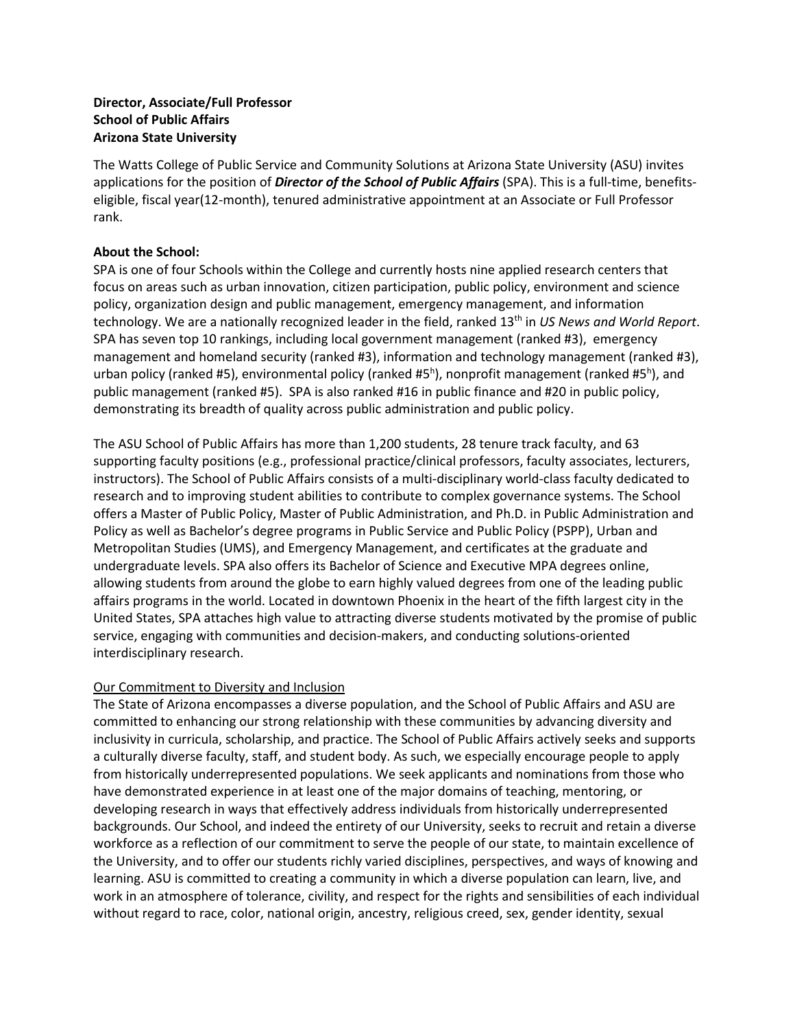## **Director, Associate/Full Professor School of Public Affairs Arizona State University**

The Watts College of Public Service and Community Solutions at Arizona State University (ASU) invites applications for the position of *Director of the School of Public Affairs* (SPA). This is a full-time, benefitseligible, fiscal year(12-month), tenured administrative appointment at an Associate or Full Professor rank.

## **About the School:**

SPA is one of four Schools within the College and currently hosts nine applied research centers that focus on areas such as urban innovation, citizen participation, public policy, environment and science policy, organization design and public management, emergency management, and information technology. We are a nationally recognized leader in the field, ranked 13th in *US News and World Report*. SPA has seven top 10 rankings, including local government management (ranked #3), emergency management and homeland security (ranked #3), information and technology management (ranked #3), urban policy (ranked #5), environmental policy (ranked #5<sup>h</sup>), nonprofit management (ranked #5<sup>h</sup>), and public management (ranked #5). SPA is also ranked #16 in public finance and #20 in public policy, demonstrating its breadth of quality across public administration and public policy.

The ASU School of Public Affairs has more than 1,200 students, 28 tenure track faculty, and 63 supporting faculty positions (e.g., professional practice/clinical professors, faculty associates, lecturers, instructors). The School of Public Affairs consists of a multi-disciplinary world-class faculty dedicated to research and to improving student abilities to contribute to complex governance systems. The School offers a Master of Public Policy, Master of Public Administration, and Ph.D. in Public Administration and Policy as well as Bachelor's degree programs in Public Service and Public Policy (PSPP), Urban and Metropolitan Studies (UMS), and Emergency Management, and certificates at the graduate and undergraduate levels. SPA also offers its Bachelor of Science and Executive MPA degrees online, allowing students from around the globe to earn highly valued degrees from one of the leading public affairs programs in the world. Located in downtown Phoenix in the heart of the fifth largest city in the United States, SPA attaches high value to attracting diverse students motivated by the promise of public service, engaging with communities and decision-makers, and conducting solutions-oriented interdisciplinary research.

#### Our Commitment to Diversity and Inclusion

The State of Arizona encompasses a diverse population, and the School of Public Affairs and ASU are committed to enhancing our strong relationship with these communities by advancing diversity and inclusivity in curricula, scholarship, and practice. The School of Public Affairs actively seeks and supports a culturally diverse faculty, staff, and student body. As such, we especially encourage people to apply from historically underrepresented populations. We seek applicants and nominations from those who have demonstrated experience in at least one of the major domains of teaching, mentoring, or developing research in ways that effectively address individuals from historically underrepresented backgrounds. Our School, and indeed the entirety of our University, seeks to recruit and retain a diverse workforce as a reflection of our commitment to serve the people of our state, to maintain excellence of the University, and to offer our students richly varied disciplines, perspectives, and ways of knowing and learning. ASU is committed to creating a community in which a diverse population can learn, live, and work in an atmosphere of tolerance, civility, and respect for the rights and sensibilities of each individual without regard to race, color, national origin, ancestry, religious creed, sex, gender identity, sexual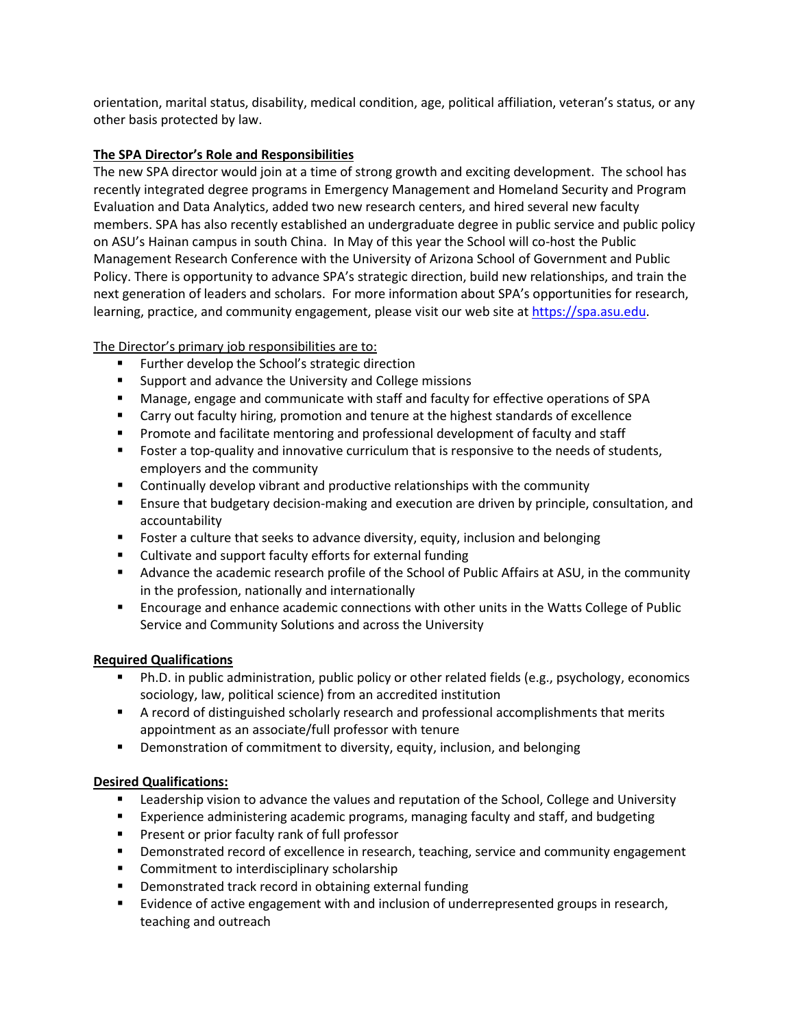orientation, marital status, disability, medical condition, age, political affiliation, veteran's status, or any other basis protected by law.

## **The SPA Director's Role and Responsibilities**

The new SPA director would join at a time of strong growth and exciting development. The school has recently integrated degree programs in Emergency Management and Homeland Security and Program Evaluation and Data Analytics, added two new research centers, and hired several new faculty members. SPA has also recently established an undergraduate degree in public service and public policy on ASU's Hainan campus in south China. In May of this year the School will co-host the Public Management Research Conference with the University of Arizona School of Government and Public Policy. There is opportunity to advance SPA's strategic direction, build new relationships, and train the next generation of leaders and scholars. For more information about SPA's opportunities for research, learning, practice, and community engagement, please visit our web site at [https://spa.asu.edu.](https://spa.asu.edu/)

# The Director's primary job responsibilities are to:

- **Further develop the School's strategic direction**
- **Support and advance the University and College missions**
- Manage, engage and communicate with staff and faculty for effective operations of SPA
- Carry out faculty hiring, promotion and tenure at the highest standards of excellence
- **Promote and facilitate mentoring and professional development of faculty and staff**
- Foster a top-quality and innovative curriculum that is responsive to the needs of students, employers and the community
- **EXEDENT** Continually develop vibrant and productive relationships with the community
- **E** Ensure that budgetary decision-making and execution are driven by principle, consultation, and accountability
- Foster a culture that seeks to advance diversity, equity, inclusion and belonging
- Cultivate and support faculty efforts for external funding
- Advance the academic research profile of the School of Public Affairs at ASU, in the community in the profession, nationally and internationally
- Encourage and enhance academic connections with other units in the Watts College of Public Service and Community Solutions and across the University

#### **Required Qualifications**

- Ph.D. in public administration, public policy or other related fields (e.g., psychology, economics sociology, law, political science) from an accredited institution
- A record of distinguished scholarly research and professional accomplishments that merits appointment as an associate/full professor with tenure
- **•** Demonstration of commitment to diversity, equity, inclusion, and belonging

#### **Desired Qualifications:**

- **EXECT** Leadership vision to advance the values and reputation of the School, College and University
- Experience administering academic programs, managing faculty and staff, and budgeting
- **Present or prior faculty rank of full professor**
- **Pemonstrated record of excellence in research, teaching, service and community engagement**
- **EXECOMMITMENT TO INTERFERITM** COMMITMENT COMMITMENT COMMITMENT COMMITMENT COMMITMENT COMMITMENT COMMITMENT COMMITMENT COMMITMENT COMMITMENT COMMITMENT COMMITMENT COMMITMENT COMMITMENT COMMITMENT COMMITMENT COMMITMENT COMM
- **•** Demonstrated track record in obtaining external funding
- **Exidence of active engagement with and inclusion of underrepresented groups in research,** teaching and outreach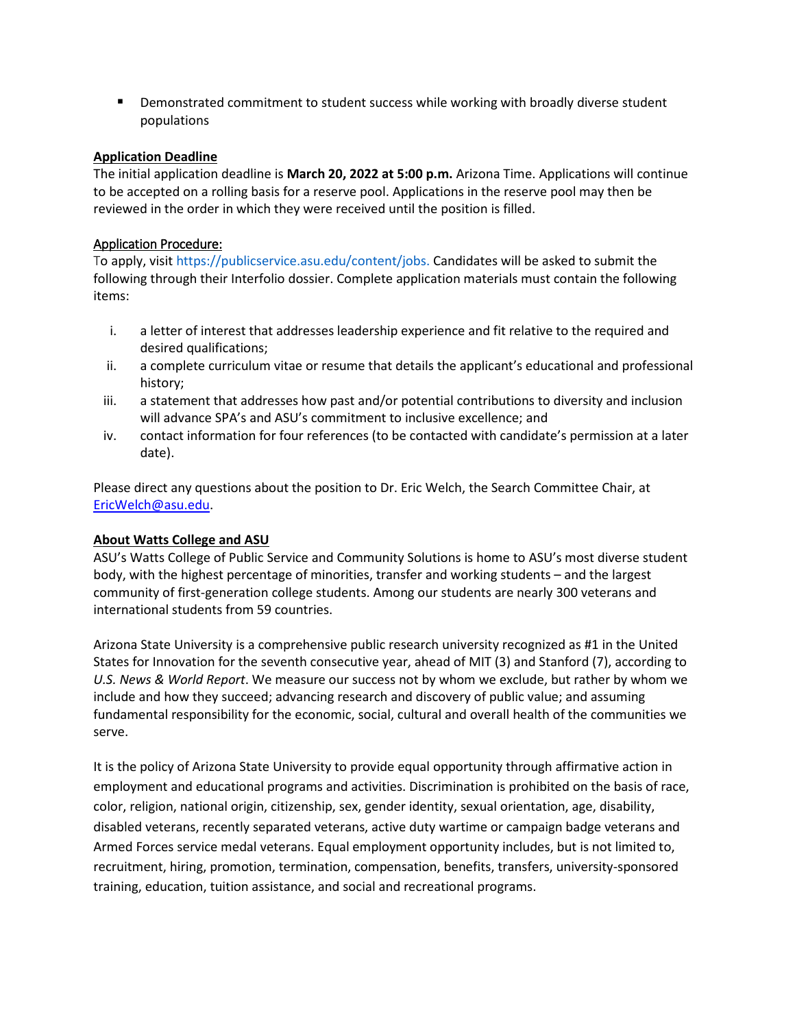**Demonstrated commitment to student success while working with broadly diverse student** populations

#### **Application Deadline**

The initial application deadline is **March 20, 2022 at 5:00 p.m.** Arizona Time. Applications will continue to be accepted on a rolling basis for a reserve pool. Applications in the reserve pool may then be reviewed in the order in which they were received until the position is filled.

## Application Procedure:

To apply, visit https://publicservice.asu.edu/content/jobs. Candidates will be asked to submit the following through their Interfolio dossier. Complete application materials must contain the following items:

- i. a letter of interest that addresses leadership experience and fit relative to the required and desired qualifications;
- ii. a complete curriculum vitae or resume that details the applicant's educational and professional history;
- iii. a statement that addresses how past and/or potential contributions to diversity and inclusion will advance SPA's and ASU's commitment to inclusive excellence; and
- iv. contact information for four references (to be contacted with candidate's permission at a later date).

Please direct any questions about the position to Dr. Eric Welch, the Search Committee Chair, at [EricWelch@asu.edu.](mailto:EricWelch@asu.edu)

#### **About Watts College and ASU**

ASU's Watts College of Public Service and Community Solutions is home to ASU's most diverse student body, with the highest percentage of minorities, transfer and working students – and the largest community of first-generation college students. Among our students are nearly 300 veterans and international students from 59 countries.

Arizona State University is a comprehensive public research university recognized as #1 in the United States for Innovation for the seventh consecutive year, ahead of MIT (3) and Stanford (7), according to *U.S. News & World Report*. We measure our success not by whom we exclude, but rather by whom we include and how they succeed; advancing research and discovery of public value; and assuming fundamental responsibility for the economic, social, cultural and overall health of the communities we serve.

It is the policy of Arizona State University to provide equal opportunity through affirmative action in employment and educational programs and activities. Discrimination is prohibited on the basis of race, color, religion, national origin, citizenship, sex, gender identity, sexual orientation, age, disability, disabled veterans, recently separated veterans, active duty wartime or campaign badge veterans and Armed Forces service medal veterans. Equal employment opportunity includes, but is not limited to, recruitment, hiring, promotion, termination, compensation, benefits, transfers, university-sponsored training, education, tuition assistance, and social and recreational programs.